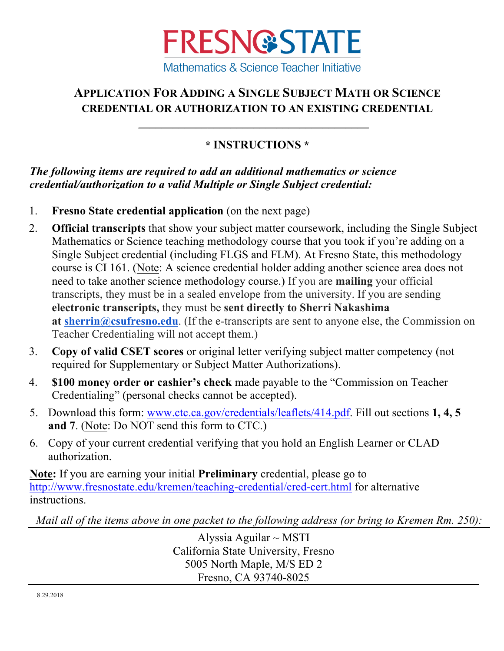

## **APPLICATION FOR ADDING A SINGLE SUBJECT MATH OR SCIENCE CREDENTIAL OR AUTHORIZATION TO AN EXISTING CREDENTIAL**

## **\* INSTRUCTIONS \***

\_\_\_\_\_\_\_\_\_\_\_\_\_\_\_\_\_\_\_\_\_\_\_\_\_\_\_\_\_\_\_\_\_\_\_\_\_\_\_\_

*The following items are required to add an additional mathematics or science credential/authorization to a valid Multiple or Single Subject credential:*

- 1. **Fresno State credential application** (on the next page)
- 2. **Official transcripts** that show your subject matter coursework, including the Single Subject Mathematics or Science teaching methodology course that you took if you're adding on a Single Subject credential (including FLGS and FLM). At Fresno State, this methodology course is CI 161. (Note: A science credential holder adding another science area does not need to take another science methodology course.) If you are **mailing** your official transcripts, they must be in a sealed envelope from the university. If you are sending **electronic transcripts,** they must be **sent directly to Sherri Nakashima at sherrin@csufresno.edu**. (If the e-transcripts are sent to anyone else, the Commission on Teacher Credentialing will not accept them.)
- 3. **Copy of valid CSET scores** or original letter verifying subject matter competency (not required for Supplementary or Subject Matter Authorizations).
- 4. **\$100 money order or cashier's check** made payable to the "Commission on Teacher Credentialing" (personal checks cannot be accepted).
- 5. Download this form: www.ctc.ca.gov/credentials/leaflets/414.pdf. Fill out sections **1, 4, 5 and 7**. (Note: Do NOT send this form to CTC.)
- 6. Copy of your current credential verifying that you hold an English Learner or CLAD authorization.

**Note:** If you are earning your initial **Preliminary** credential, please go to http://www.fresnostate.edu/kremen/teaching-credential/cred-cert.html for alternative instructions.

*Mail all of the items above in one packet to the following address (or bring to Kremen Rm. 250):*

Alyssia Aguilar  $\sim$  MSTI California State University, Fresno 5005 North Maple, M/S ED 2 Fresno, CA 93740-8025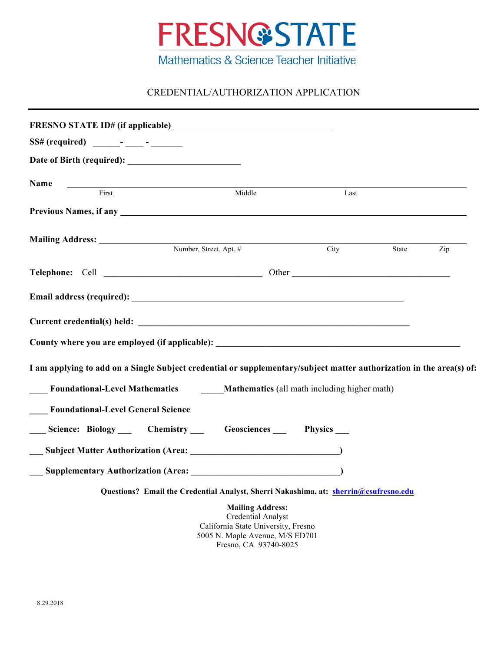

## CREDENTIAL/AUTHORIZATION APPLICATION

| Name<br>First                                                                                                                                                                                                                       | <u> 1989 - Johann Barn, mars ann an t-Amhain Aonaich an t-Aonaich an t-Aonaich an t-Aonaich an t-Aonaich an t-Aon</u> | Middle                  | Last |       |     |
|-------------------------------------------------------------------------------------------------------------------------------------------------------------------------------------------------------------------------------------|-----------------------------------------------------------------------------------------------------------------------|-------------------------|------|-------|-----|
| Previous Names, if any <u>experience</u> and the set of the set of the set of the set of the set of the set of the set of the set of the set of the set of the set of the set of the set of the set of the set of the set of the se |                                                                                                                       |                         |      |       |     |
| Mailing Address: Number, Street, Apt. #                                                                                                                                                                                             |                                                                                                                       |                         | City | State | Zip |
|                                                                                                                                                                                                                                     |                                                                                                                       |                         |      |       |     |
|                                                                                                                                                                                                                                     |                                                                                                                       |                         |      |       |     |
| Current credential(s) held: Note that the set of the set of the set of the set of the set of the set of the set of the set of the set of the set of the set of the set of the set of the set of the set of the set of the set       |                                                                                                                       |                         |      |       |     |
| County where you are employed (if applicable): __________________________________                                                                                                                                                   |                                                                                                                       |                         |      |       |     |
| I am applying to add on a Single Subject credential or supplementary/subject matter authorization in the area(s) of:                                                                                                                |                                                                                                                       |                         |      |       |     |
| Foundational-Level Mathematics Mathematics (all math including higher math)                                                                                                                                                         |                                                                                                                       |                         |      |       |     |
| <b>Foundational-Level General Science</b>                                                                                                                                                                                           |                                                                                                                       |                         |      |       |     |
| Science: Biology __ Chemistry __ Geosciences __ Physics __                                                                                                                                                                          |                                                                                                                       |                         |      |       |     |
|                                                                                                                                                                                                                                     |                                                                                                                       |                         |      |       |     |
|                                                                                                                                                                                                                                     |                                                                                                                       |                         |      |       |     |
|                                                                                                                                                                                                                                     | Questions? Email the Credential Analyst, Sherri Nakashima, at: sherrin@csufresno.edu                                  |                         |      |       |     |
|                                                                                                                                                                                                                                     |                                                                                                                       | <b>Mailing Address:</b> |      |       |     |

Credential Analyst California State University, Fresno 5005 N. Maple Avenue, M/S ED701 Fresno, CA 93740-8025